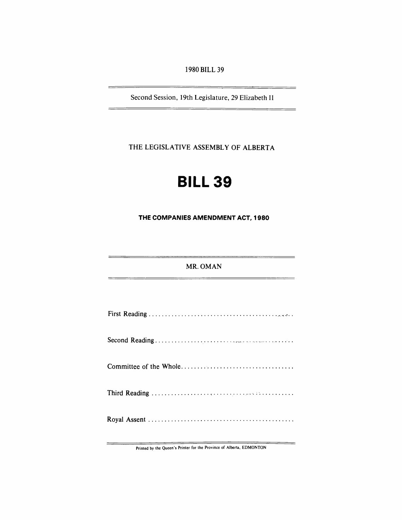1980 BILL 39

Second Session, 19th Legislature, 29 Elizabeth II

THE LEGISLATIVE ASSEMBLY OF ALBERTA

# **BILL 39**

**THE COMPANIES AMENDMENT ACT, 1980** 

## MR. OMAN

Printed by the Queen's Printer for the Province of Alberta, EDMONTON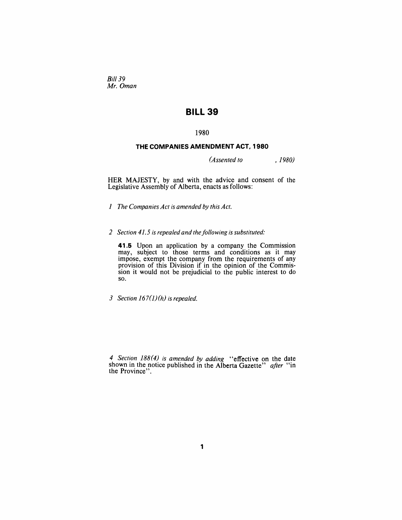Bill 39 *Mr. Oman* 

## **BILL 39**

## 1980

## **THE COMPANIES AMENDMENT ACT, 1980**

*(Assented to , 1980)* 

HER MAJESTY, by and with the advice and consent of the Legislative Assembly of Alberta, enacts as follows:

*1 The Companies Act is amended by this Act.* 

2 *Section 41.5 is repealed and the following is substituted:* 

**41.5** Upon an application by a company the Commission may, subject to those terms and conditions as it may impose, exempt the company from the requirements of any provision of this Division if in the opinion of the Commission it would not be prejudicial to the public interest to do so.

*3 Section 167(J) (h) is repealed.* 

*4 Section* 188(4) *is amended by adding* "effective on the date shown in the notice published in the Alberta Gazette" *after* "in the Province".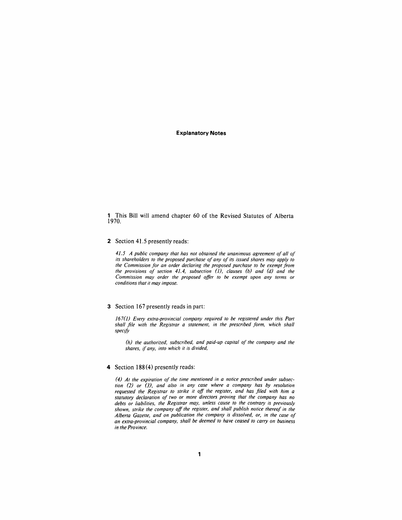#### **Explanatory Notes**

1 This Bill will amend chapter 60 of the Revised Statutes of Alberta 1970.

#### 2 Section 41.5 presently reads:

41.5 A public company that has not obtained the unanimous agreement of all of *its shareholders to the proposed purchase of any of its issued shares may apply to the Commission for an order declaring the proposed purchase to be exempt from the provisions of section* 41.4, *subsection (J), clauses (b) and (d) and the Commission may order the proposed offer to be exempt upon any terms or conditions that it may impose.* 

#### 3 Section 167 presently reads in part:

*167(J) Every extra-provincial company required to be registered under this Part shall file with the Registrar a statement, in the prescribed form, which shall specify* 

*(h) the authorized, subscribed, and paid-up capital of the company and the shares,* if *any, into which it is divided,* 

### 4 Section 188(4) presently reads:

*(4) At the expiration of the time mentioned in a notice prescribed under subsection* (2) *or* (3), *and also in any case where a company has by resolution requested the Registrar to strike it off the register, and has filed with him a statutory declaration of two or more directors proving that the company has no debts or liabilities, the Registrar may, unless cause to the contrary is previously shown, strike the company off the register, and shall publish notice thereof in the Alberta Gazette, and on publication the company is dissolved, or, in the case of an extra-provincial company, shall be deemed to have ceased to carryon business in the Province.*